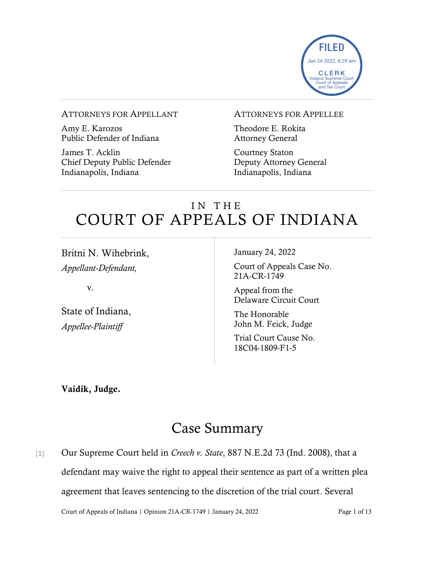

#### ATTORNEYS FOR APPELLANT

Amy E. Karozos Public Defender of Indiana

James T. Acklin Chief Deputy Public Defender Indianapolis, Indiana

#### ATTORNEYS FOR APPELLEE

Theodore E. Rokita Attorney General

Courtney Staton Deputy Attorney General Indianapolis, Indiana

# IN THE COURT OF APPEALS OF INDIANA

Britni N. Wihebrink, *Appellant-Defendant,*

v.

State of Indiana, *Appellee-Plaintiff*

January 24, 2022

Court of Appeals Case No. 21A-CR-1749

Appeal from the Delaware Circuit Court

The Honorable John M. Feick, Judge

Trial Court Cause No. 18C04-1809-F1-5

Vaidik, Judge.

# Case Summary

Court of Appeals of Indiana | Opinion 21A-CR-1749 | January 24, 2022 Page 1 of 13 [1] Our Supreme Court held in *Creech v. State*, 887 N.E.2d 73 (Ind. 2008), that a defendant may waive the right to appeal their sentence as part of a written plea agreement that leaves sentencing to the discretion of the trial court. Several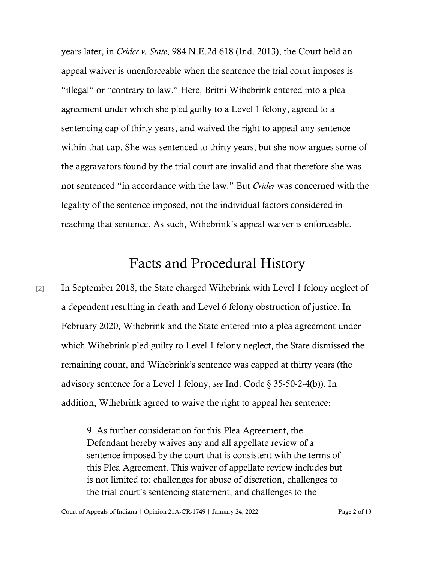years later, in *Crider v. State*, 984 N.E.2d 618 (Ind. 2013), the Court held an appeal waiver is unenforceable when the sentence the trial court imposes is "illegal" or "contrary to law." Here, Britni Wihebrink entered into a plea agreement under which she pled guilty to a Level 1 felony, agreed to a sentencing cap of thirty years, and waived the right to appeal any sentence within that cap. She was sentenced to thirty years, but she now argues some of the aggravators found by the trial court are invalid and that therefore she was not sentenced "in accordance with the law." But *Crider* was concerned with the legality of the sentence imposed, not the individual factors considered in reaching that sentence. As such, Wihebrink's appeal waiver is enforceable.

### Facts and Procedural History

[2] In September 2018, the State charged Wihebrink with Level 1 felony neglect of a dependent resulting in death and Level 6 felony obstruction of justice. In February 2020, Wihebrink and the State entered into a plea agreement under which Wihebrink pled guilty to Level 1 felony neglect, the State dismissed the remaining count, and Wihebrink's sentence was capped at thirty years (the advisory sentence for a Level 1 felony, *see* Ind. Code § 35-50-2-4(b)). In addition, Wihebrink agreed to waive the right to appeal her sentence:

> 9. As further consideration for this Plea Agreement, the Defendant hereby waives any and all appellate review of a sentence imposed by the court that is consistent with the terms of this Plea Agreement. This waiver of appellate review includes but is not limited to: challenges for abuse of discretion, challenges to the trial court's sentencing statement, and challenges to the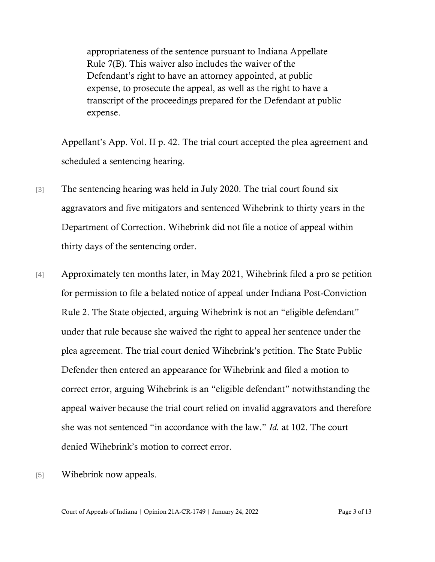appropriateness of the sentence pursuant to Indiana Appellate Rule 7(B). This waiver also includes the waiver of the Defendant's right to have an attorney appointed, at public expense, to prosecute the appeal, as well as the right to have a transcript of the proceedings prepared for the Defendant at public expense.

Appellant's App. Vol. II p. 42. The trial court accepted the plea agreement and scheduled a sentencing hearing.

- [3] The sentencing hearing was held in July 2020. The trial court found six aggravators and five mitigators and sentenced Wihebrink to thirty years in the Department of Correction. Wihebrink did not file a notice of appeal within thirty days of the sentencing order.
- [4] Approximately ten months later, in May 2021, Wihebrink filed a pro se petition for permission to file a belated notice of appeal under Indiana Post-Conviction Rule 2. The State objected, arguing Wihebrink is not an "eligible defendant" under that rule because she waived the right to appeal her sentence under the plea agreement. The trial court denied Wihebrink's petition. The State Public Defender then entered an appearance for Wihebrink and filed a motion to correct error, arguing Wihebrink is an "eligible defendant" notwithstanding the appeal waiver because the trial court relied on invalid aggravators and therefore she was not sentenced "in accordance with the law." *Id.* at 102. The court denied Wihebrink's motion to correct error.
- [5] Wihebrink now appeals.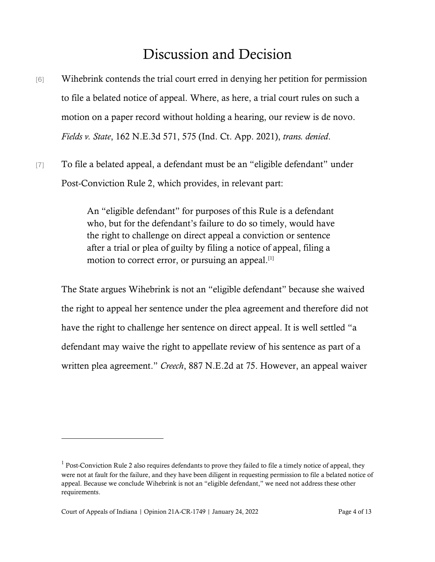# Discussion and Decision

- [6] Wihebrink contends the trial court erred in denying her petition for permission to file a belated notice of appeal. Where, as here, a trial court rules on such a motion on a paper record without holding a hearing, our review is de novo. *Fields v. State*, 162 N.E.3d 571, 575 (Ind. Ct. App. 2021), *trans. denied*.
- [7] To file a belated appeal, a defendant must be an "eligible defendant" under Post-Conviction Rule 2, which provides, in relevant part:

An "eligible defendant" for purposes of this Rule is a defendant who, but for the defendant's failure to do so timely, would have the right to challenge on direct appeal a conviction or sentence after a trial or plea of guilty by filing a notice of appeal, filing a motion to correct error, or pursuing an appeal.<sup>[1]</sup>

The State argues Wihebrink is not an "eligible defendant" because she waived the right to appeal her sentence under the plea agreement and therefore did not have the right to challenge her sentence on direct appeal. It is well settled "a defendant may waive the right to appellate review of his sentence as part of a written plea agreement." *Creech*, 887 N.E.2d at 75. However, an appeal waiver

 $<sup>1</sup>$  Post-Conviction Rule 2 also requires defendants to prove they failed to file a timely notice of appeal, they</sup> were not at fault for the failure, and they have been diligent in requesting permission to file a belated notice of appeal. Because we conclude Wihebrink is not an "eligible defendant," we need not address these other requirements.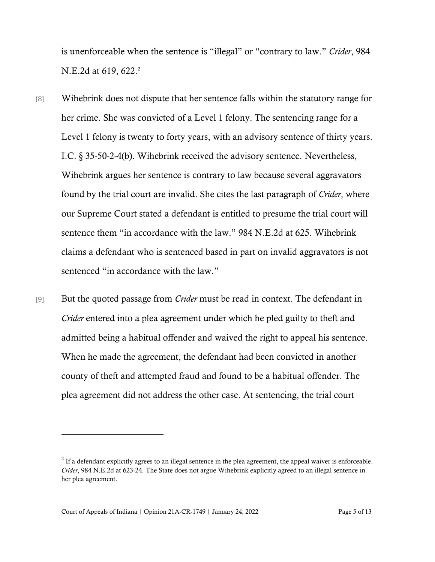is unenforceable when the sentence is "illegal" or "contrary to law." *Crider*, 984 N.E.2d at 619, 622.<sup>2</sup>

- [8] Wihebrink does not dispute that her sentence falls within the statutory range for her crime. She was convicted of a Level 1 felony. The sentencing range for a Level 1 felony is twenty to forty years, with an advisory sentence of thirty years. I.C. § 35-50-2-4(b). Wihebrink received the advisory sentence. Nevertheless, Wihebrink argues her sentence is contrary to law because several aggravators found by the trial court are invalid. She cites the last paragraph of *Crider*, where our Supreme Court stated a defendant is entitled to presume the trial court will sentence them "in accordance with the law." 984 N.E.2d at 625. Wihebrink claims a defendant who is sentenced based in part on invalid aggravators is not sentenced "in accordance with the law."
- [9] But the quoted passage from *Crider* must be read in context. The defendant in *Crider* entered into a plea agreement under which he pled guilty to theft and admitted being a habitual offender and waived the right to appeal his sentence. When he made the agreement, the defendant had been convicted in another county of theft and attempted fraud and found to be a habitual offender. The plea agreement did not address the other case. At sentencing, the trial court

 $2^{2}$  If a defendant explicitly agrees to an illegal sentence in the plea agreement, the appeal waiver is enforceable. *Crider*, 984 N.E.2d at 623-24. The State does not argue Wihebrink explicitly agreed to an illegal sentence in her plea agreement.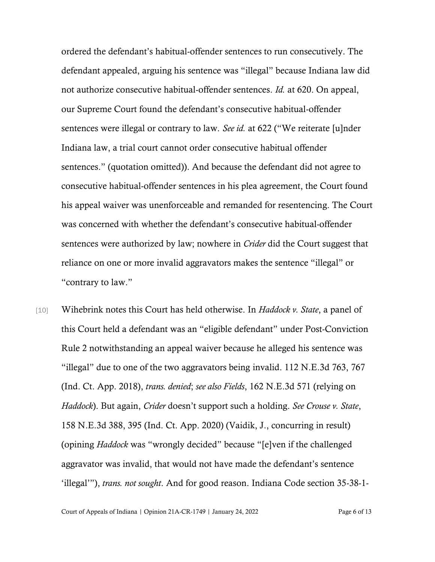ordered the defendant's habitual-offender sentences to run consecutively. The defendant appealed, arguing his sentence was "illegal" because Indiana law did not authorize consecutive habitual-offender sentences. *Id.* at 620. On appeal, our Supreme Court found the defendant's consecutive habitual-offender sentences were illegal or contrary to law. *See id.* at 622 ("We reiterate [u]nder Indiana law, a trial court cannot order consecutive habitual offender sentences." (quotation omitted)). And because the defendant did not agree to consecutive habitual-offender sentences in his plea agreement, the Court found his appeal waiver was unenforceable and remanded for resentencing. The Court was concerned with whether the defendant's consecutive habitual-offender sentences were authorized by law; nowhere in *Crider* did the Court suggest that reliance on one or more invalid aggravators makes the sentence "illegal" or "contrary to law."

[10] Wihebrink notes this Court has held otherwise. In *Haddock v. State*, a panel of this Court held a defendant was an "eligible defendant" under Post-Conviction Rule 2 notwithstanding an appeal waiver because he alleged his sentence was "illegal" due to one of the two aggravators being invalid. 112 N.E.3d 763, 767 (Ind. Ct. App. 2018), *trans. denied*; *see also Fields*, 162 N.E.3d 571 (relying on *Haddock*). But again, *Crider* doesn't support such a holding. *See Crouse v. State*, 158 N.E.3d 388, 395 (Ind. Ct. App. 2020) (Vaidik, J., concurring in result) (opining *Haddock* was "wrongly decided" because "[e]ven if the challenged aggravator was invalid, that would not have made the defendant's sentence 'illegal'"), *trans. not sought*. And for good reason. Indiana Code section 35-38-1-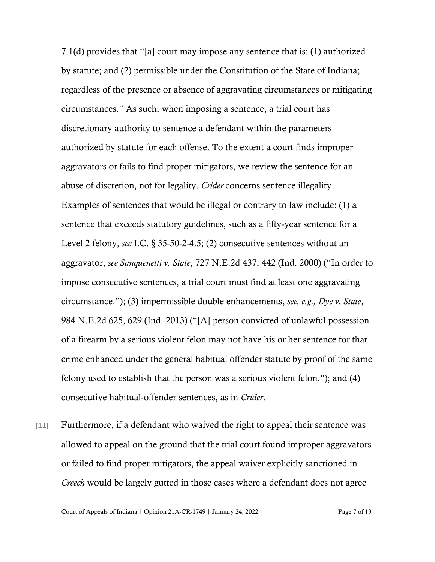7.1(d) provides that "[a] court may impose any sentence that is: (1) authorized by statute; and (2) permissible under the Constitution of the State of Indiana; regardless of the presence or absence of aggravating circumstances or mitigating circumstances." As such, when imposing a sentence, a trial court has discretionary authority to sentence a defendant within the parameters authorized by statute for each offense. To the extent a court finds improper aggravators or fails to find proper mitigators, we review the sentence for an abuse of discretion, not for legality. *Crider* concerns sentence illegality. Examples of sentences that would be illegal or contrary to law include: (1) a sentence that exceeds statutory guidelines, such as a fifty-year sentence for a Level 2 felony, *see* I.C. § 35-50-2-4.5; (2) consecutive sentences without an aggravator, *see Sanquenetti v. State*, 727 N.E.2d 437, 442 (Ind. 2000) ("In order to impose consecutive sentences, a trial court must find at least one aggravating circumstance."); (3) impermissible double enhancements, *see, e.g., Dye v. State*, 984 N.E.2d 625, 629 (Ind. 2013) ("[A] person convicted of unlawful possession of a firearm by a serious violent felon may not have his or her sentence for that crime enhanced under the general habitual offender statute by proof of the same felony used to establish that the person was a serious violent felon."); and (4) consecutive habitual-offender sentences, as in *Crider*.

[11] Furthermore, if a defendant who waived the right to appeal their sentence was allowed to appeal on the ground that the trial court found improper aggravators or failed to find proper mitigators, the appeal waiver explicitly sanctioned in *Creech* would be largely gutted in those cases where a defendant does not agree

Court of Appeals of Indiana | Opinion 21A-CR-1749 | January 24, 2022 Page 7 of 13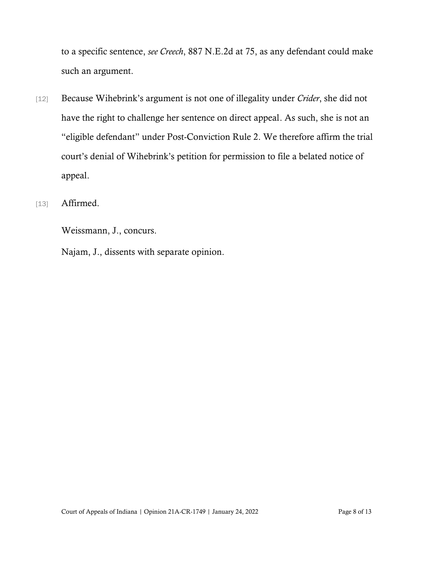to a specific sentence, *see Creech*, 887 N.E.2d at 75, as any defendant could make such an argument.

- [12] Because Wihebrink's argument is not one of illegality under *Crider*, she did not have the right to challenge her sentence on direct appeal. As such, she is not an "eligible defendant" under Post-Conviction Rule 2. We therefore affirm the trial court's denial of Wihebrink's petition for permission to file a belated notice of appeal.
- [13] **Affirmed.**

Weissmann, J., concurs.

Najam, J., dissents with separate opinion.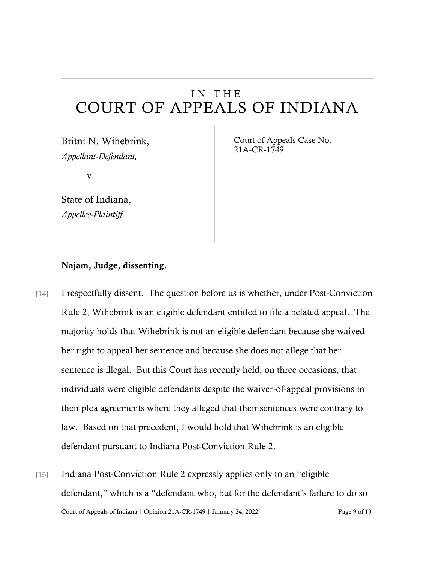## IN THE COURT OF APPEALS OF INDIANA

Britni N. Wihebrink, *Appellant-Defendant,*

v.

State of Indiana, *Appellee-Plaintiff.*

Court of Appeals Case No. 21A-CR-1749

### Najam, Judge, dissenting.

- [14] I respectfully dissent. The question before us is whether, under Post-Conviction Rule 2, Wihebrink is an eligible defendant entitled to file a belated appeal. The majority holds that Wihebrink is not an eligible defendant because she waived her right to appeal her sentence and because she does not allege that her sentence is illegal. But this Court has recently held, on three occasions, that individuals were eligible defendants despite the waiver-of-appeal provisions in their plea agreements where they alleged that their sentences were contrary to law. Based on that precedent, I would hold that Wihebrink is an eligible defendant pursuant to Indiana Post-Conviction Rule 2.
- Court of Appeals of Indiana | Opinion 21A-CR-1749 | January 24, 2022 Page 9 of 13 [15] Indiana Post-Conviction Rule 2 expressly applies only to an "eligible defendant," which is a "defendant who, but for the defendant's failure to do so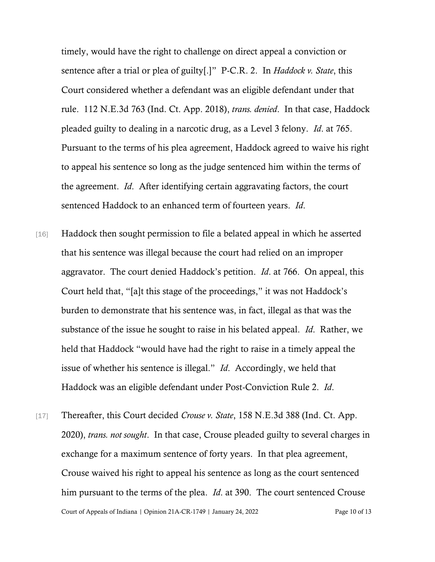timely, would have the right to challenge on direct appeal a conviction or sentence after a trial or plea of guilty[.]" P-C.R. 2. In *Haddock v. State*, this Court considered whether a defendant was an eligible defendant under that rule. 112 N.E.3d 763 (Ind. Ct. App. 2018), *trans. denied*. In that case, Haddock pleaded guilty to dealing in a narcotic drug, as a Level 3 felony. *Id*. at 765. Pursuant to the terms of his plea agreement, Haddock agreed to waive his right to appeal his sentence so long as the judge sentenced him within the terms of the agreement. *Id*. After identifying certain aggravating factors, the court sentenced Haddock to an enhanced term of fourteen years. *Id*.

- [16] Haddock then sought permission to file a belated appeal in which he asserted that his sentence was illegal because the court had relied on an improper aggravator. The court denied Haddock's petition. *Id*. at 766. On appeal, this Court held that, "[a]t this stage of the proceedings," it was not Haddock's burden to demonstrate that his sentence was, in fact, illegal as that was the substance of the issue he sought to raise in his belated appeal. *Id*. Rather, we held that Haddock "would have had the right to raise in a timely appeal the issue of whether his sentence is illegal." *Id*. Accordingly, we held that Haddock was an eligible defendant under Post-Conviction Rule 2. *Id*.
- Court of Appeals of Indiana | Opinion 21A-CR-1749 | January 24, 2022 Page 10 of 13 [17] Thereafter, this Court decided *Crouse v. State*, 158 N.E.3d 388 (Ind. Ct. App. 2020), *trans. not sought*. In that case, Crouse pleaded guilty to several charges in exchange for a maximum sentence of forty years. In that plea agreement, Crouse waived his right to appeal his sentence as long as the court sentenced him pursuant to the terms of the plea. *Id*. at 390. The court sentenced Crouse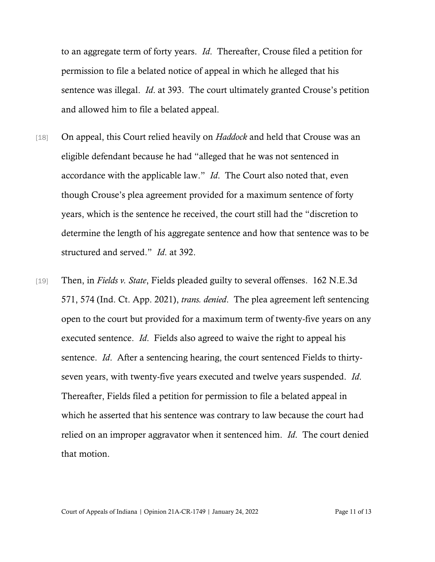to an aggregate term of forty years. *Id*. Thereafter, Crouse filed a petition for permission to file a belated notice of appeal in which he alleged that his sentence was illegal. *Id*. at 393. The court ultimately granted Crouse's petition and allowed him to file a belated appeal.

- [18] On appeal, this Court relied heavily on *Haddock* and held that Crouse was an eligible defendant because he had "alleged that he was not sentenced in accordance with the applicable law." *Id*. The Court also noted that, even though Crouse's plea agreement provided for a maximum sentence of forty years, which is the sentence he received, the court still had the "discretion to determine the length of his aggregate sentence and how that sentence was to be structured and served." *Id*. at 392.
- [19] Then, in *Fields v. State*, Fields pleaded guilty to several offenses. 162 N.E.3d 571, 574 (Ind. Ct. App. 2021), *trans. denied*. The plea agreement left sentencing open to the court but provided for a maximum term of twenty-five years on any executed sentence. *Id*. Fields also agreed to waive the right to appeal his sentence. *Id*. After a sentencing hearing, the court sentenced Fields to thirtyseven years, with twenty-five years executed and twelve years suspended. *Id*. Thereafter, Fields filed a petition for permission to file a belated appeal in which he asserted that his sentence was contrary to law because the court had relied on an improper aggravator when it sentenced him. *Id*. The court denied that motion.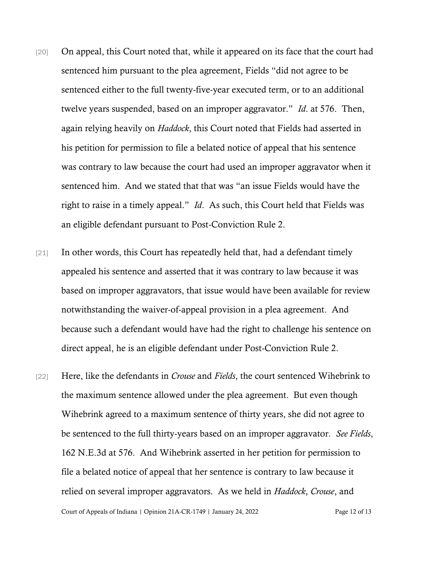- [20] On appeal, this Court noted that, while it appeared on its face that the court had sentenced him pursuant to the plea agreement, Fields "did not agree to be sentenced either to the full twenty-five-year executed term, or to an additional twelve years suspended, based on an improper aggravator." *Id*. at 576. Then, again relying heavily on *Haddock*, this Court noted that Fields had asserted in his petition for permission to file a belated notice of appeal that his sentence was contrary to law because the court had used an improper aggravator when it sentenced him. And we stated that that was "an issue Fields would have the right to raise in a timely appeal." *Id*. As such, this Court held that Fields was an eligible defendant pursuant to Post-Conviction Rule 2.
- [21] In other words, this Court has repeatedly held that, had a defendant timely appealed his sentence and asserted that it was contrary to law because it was based on improper aggravators, that issue would have been available for review notwithstanding the waiver-of-appeal provision in a plea agreement. And because such a defendant would have had the right to challenge his sentence on direct appeal, he is an eligible defendant under Post-Conviction Rule 2.
- Court of Appeals of Indiana | Opinion 21A-CR-1749 | January 24, 2022 Page 12 of 13 [22] Here, like the defendants in *Crouse* and *Fields*, the court sentenced Wihebrink to the maximum sentence allowed under the plea agreement. But even though Wihebrink agreed to a maximum sentence of thirty years, she did not agree to be sentenced to the full thirty-years based on an improper aggravator. *See Fields*, 162 N.E.3d at 576. And Wihebrink asserted in her petition for permission to file a belated notice of appeal that her sentence is contrary to law because it relied on several improper aggravators. As we held in *Haddock*, *Crouse*, and